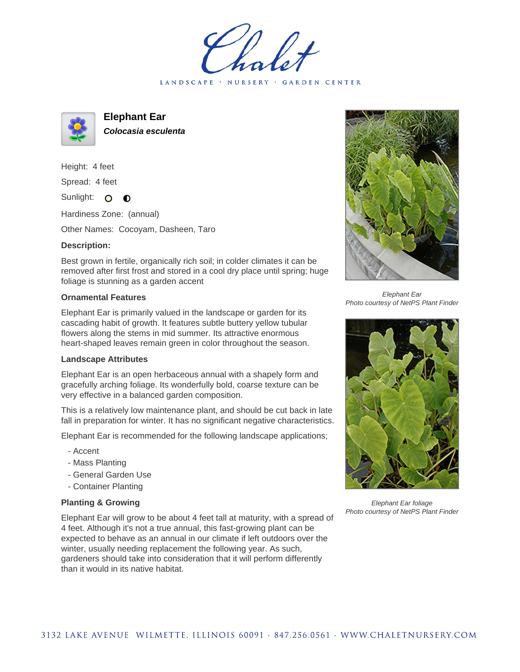LANDSCAPE · NURSERY · GARDEN CENTER



**Elephant Ear**

**Colocasia esculenta**

Height: 4 feet

Spread: 4 feet

Sunlight: O  $\bullet$ 

Hardiness Zone: (annual)

Other Names: Cocoyam, Dasheen, Taro

## **Description:**

Best grown in fertile, organically rich soil; in colder climates it can be removed after first frost and stored in a cool dry place until spring; huge foliage is stunning as a garden accent

## **Ornamental Features**

Elephant Ear is primarily valued in the landscape or garden for its cascading habit of growth. It features subtle buttery yellow tubular flowers along the stems in mid summer. Its attractive enormous heart-shaped leaves remain green in color throughout the season.

## **Landscape Attributes**

Elephant Ear is an open herbaceous annual with a shapely form and gracefully arching foliage. Its wonderfully bold, coarse texture can be very effective in a balanced garden composition.

This is a relatively low maintenance plant, and should be cut back in late fall in preparation for winter. It has no significant negative characteristics.

Elephant Ear is recommended for the following landscape applications;

- Accent
- Mass Planting
- General Garden Use
- Container Planting

## **Planting & Growing**

Elephant Ear will grow to be about 4 feet tall at maturity, with a spread of 4 feet. Although it's not a true annual, this fast-growing plant can be expected to behave as an annual in our climate if left outdoors over the winter, usually needing replacement the following year. As such, gardeners should take into consideration that it will perform differently than it would in its native habitat.



Elephant Ear Photo courtesy of NetPS Plant Finder



Elephant Ear foliage Photo courtesy of NetPS Plant Finder